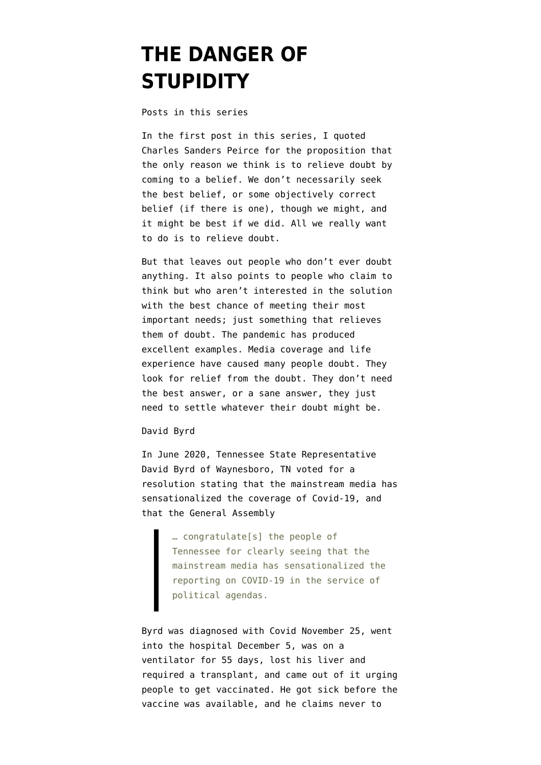## **[THE DANGER OF](https://www.emptywheel.net/2021/08/06/the-danger-of-stupidity/) [STUPIDITY](https://www.emptywheel.net/2021/08/06/the-danger-of-stupidity/)**

[Posts in this series](https://www.emptywheel.net/2021/07/09/introduction-to-new-series-index-and-bibliography/)

In the first post in this series, I quoted Charles Sanders Peirce for the proposition that the only reason we think is to relieve doubt by coming to a belief. We don't necessarily seek the best belief, or some objectively correct belief (if there is one), though we might, and it might be best if we did. All we really want to do is to relieve doubt.

But that leaves out people who don't ever doubt anything. It also points to people who claim to think but who aren't interested in the solution with the best chance of meeting their most important needs; just something that relieves them of doubt. The pandemic has produced excellent examples. Media coverage and life experience have caused many people doubt. They look for relief from the doubt. They don't need the best answer, or a sane answer, they just need to settle whatever their doubt might be.

David Byrd

In June 2020, Tennessee State Representative David Byrd of Waynesboro, TN [voted](https://www.washingtonpost.com/politics/2021/08/01/david-byrd-covid/) for a [resolution](https://wapp.capitol.tn.gov/apps/Billinfo/default.aspx?BillNumber=HR0340&ga=111) stating that the mainstream media has sensationalized the coverage of Covid-19, and that the General Assembly

> … congratulate[s] the people of Tennessee for clearly seeing that the mainstream media has sensationalized the reporting on COVID-19 in the service of political agendas.

Byrd was diagnosed with Covid November 25, went into the hospital December 5, was on a ventilator for 55 days, lost his liver and required a transplant, and came out of it urging people to get vaccinated. He got sick before the vaccine was available, and he claims never to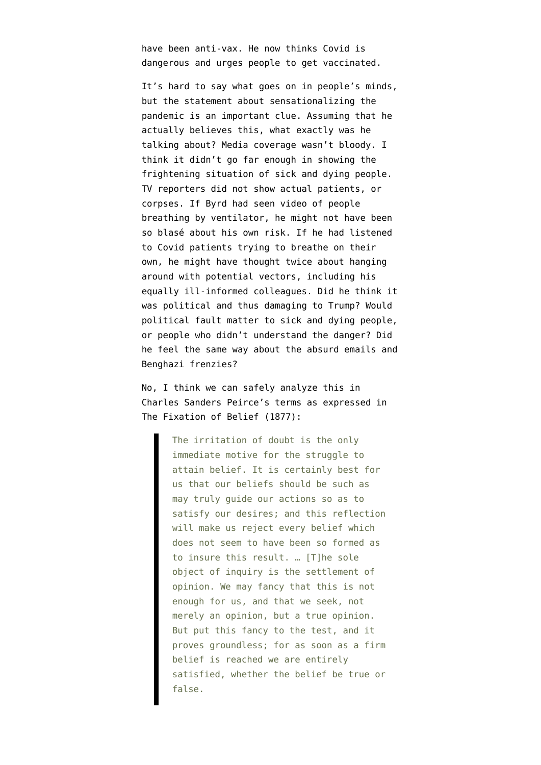have been anti-vax. He now thinks Covid is dangerous and urges people to get vaccinated.

It's hard to say what goes on in people's minds, but the statement about sensationalizing the pandemic is an important clue. Assuming that he actually believes this, what exactly was he talking about? Media coverage wasn't bloody. I think it didn't go far enough in showing the frightening situation of sick and dying people. TV reporters did not show actual patients, or corpses. If Byrd had seen video of people breathing by ventilator, he might not have been so blasé about his own risk. If he had listened to Covid patients trying to breathe on their own, he might have thought twice about hanging around with potential vectors, including his equally ill-informed colleagues. Did he think it was political and thus damaging to Trump? Would political fault matter to sick and dying people, or people who didn't understand the danger? Did he feel the same way about the absurd emails and Benghazi frenzies?

No, I think we can safely analyze this in Charles Sanders Peirce's terms as expressed in [The Fixation of Belief \(1877\)](https://duckduckgo.com/?q=peirce+the+fixation+of+belief+.pdf&t=newext&atb=v245-1&ia=web):

> The irritation of doubt is the only immediate motive for the struggle to attain belief. It is certainly best for us that our beliefs should be such as may truly guide our actions so as to satisfy our desires; and this reflection will make us reject every belief which does not seem to have been so formed as to insure this result. … [T]he sole object of inquiry is the settlement of opinion. We may fancy that this is not enough for us, and that we seek, not merely an opinion, but a true opinion. But put this fancy to the test, and it proves groundless; for as soon as a firm belief is reached we are entirely satisfied, whether the belief be true or false.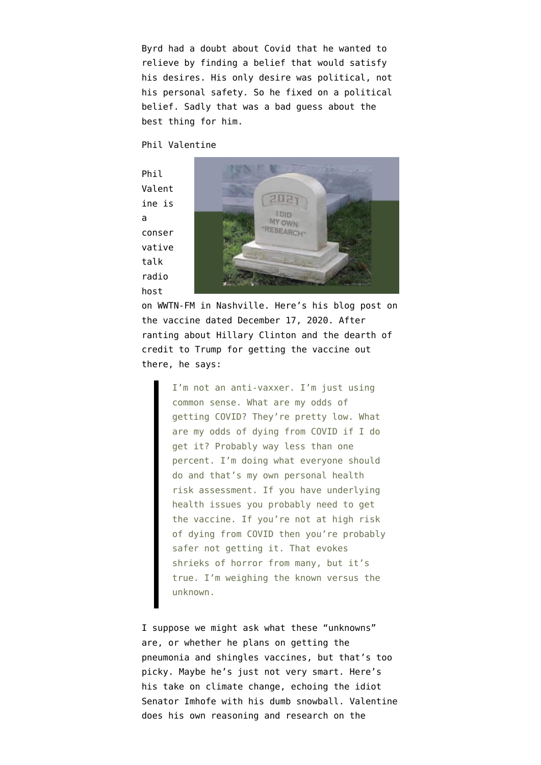Byrd had a doubt about Covid that he wanted to relieve by finding a belief that would satisfy his desires. His only desire was political, not his personal safety. So he fixed on a political belief. Sadly that was a bad guess about the best thing for him.

## Phil Valentine

Phil Valent ine is a conser vative talk radio host



on WWTN-FM in Nashville. Here's his [blog post](https://philvalentineblog.blogspot.com/2020/12/the-vax-facts.html) on the vaccine dated December 17, 2020. After ranting about Hillary Clinton and the dearth of credit to Trump for getting the vaccine out there, he says:

> I'm not an anti-vaxxer. I'm just using common sense. What are my odds of getting COVID? They're pretty low. What are my odds of dying from COVID if I do get it? Probably way less than one percent. I'm doing what everyone should do and that's my own personal health risk assessment. If you have underlying health issues you probably need to get the vaccine. If you're not at high risk of dying from COVID then you're probably safer not getting it. That evokes shrieks of horror from many, but it's true. I'm weighing the known versus the unknown.

I suppose we might ask what these "unknowns" are, or whether he plans on getting the pneumonia and shingles vaccines, but that's too picky. Maybe he's just not very smart. Here's his [take](https://philvalentineblog.blogspot.com/2021/02/global-warming-my-eye.html) on climate change, echoing the idiot [Senator Imhofe](https://www.cbsnews.com/news/sen-jim-inhofe-climate-change-is-not-real-because-here-is-a-snowball/) with his dumb snowball. Valentine does his own reasoning and research on the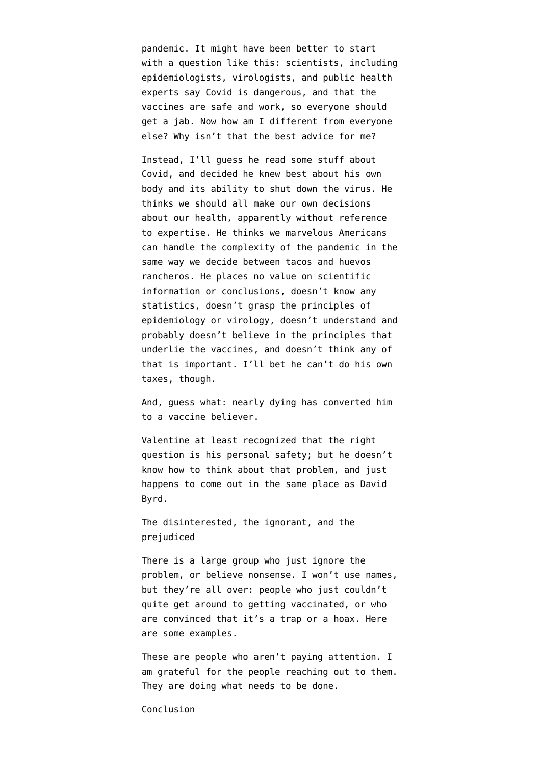pandemic. It might have been better to start with a question like this: scientists, including epidemiologists, virologists, and public health experts say Covid is dangerous, and that the vaccines are safe and work, so everyone should get a jab. Now how am I different from everyone else? Why isn't that the best advice for me?

Instead, I'll guess he read some stuff about Covid, and decided he knew best about his own body and its ability to shut down the virus. He thinks we should all make our own decisions about our health, apparently without reference to expertise. He thinks we marvelous Americans can handle the complexity of the pandemic in the same way we decide between tacos and huevos rancheros. He places no value on scientific information or conclusions, doesn't know any statistics, doesn't grasp the principles of epidemiology or virology, doesn't understand and probably doesn't believe in the principles that underlie the vaccines, and doesn't think any of that is important. I'll bet he can't do his own taxes, though.

And, guess what: nearly dying has converted him to a vaccine believer.

Valentine at least recognized that the right question is his personal safety; but he doesn't know how to think about that problem, and just happens to come out in the same place as David Byrd.

The disinterested, the ignorant, and the prejudiced

There is a large group who just ignore the problem, or believe nonsense. I won't use names, but they're all over: people who just couldn't quite get around to getting vaccinated, or who are convinced that it's a trap or a hoax. Here are some [examples.](https://www.newyorker.com/news/us-journal/the-struggle-to-vaccinate-springfield-missouri)

These are people who aren't paying attention. I am grateful for the people reaching out to them. They are doing what needs to be done.

Conclusion